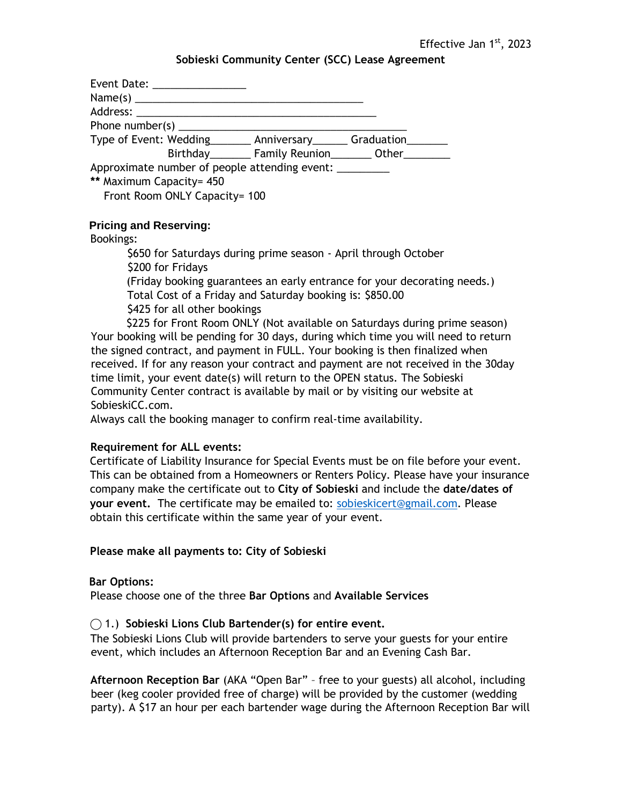### **Sobieski Community Center (SCC) Lease Agreement**

| Event Date: _________________                                       |                              |  |  |  |
|---------------------------------------------------------------------|------------------------------|--|--|--|
|                                                                     |                              |  |  |  |
|                                                                     |                              |  |  |  |
| Phone number(s) $\frac{1}{2}$                                       |                              |  |  |  |
| Type of Event: Wedding _______ Anniversary ______ Graduation ______ |                              |  |  |  |
|                                                                     | Birthday Family Reunion Cher |  |  |  |
| Approximate number of people attending event:                       |                              |  |  |  |
| ** Maximum Capacity= 450                                            |                              |  |  |  |
| Front Room ONLY Capacity= 100                                       |                              |  |  |  |

## **Pricing and Reserving:**

### Bookings:

\$650 for Saturdays during prime season - April through October \$200 for Fridays (Friday booking guarantees an early entrance for your decorating needs.) Total Cost of a Friday and Saturday booking is: \$850.00 \$425 for all other bookings

 \$225 for Front Room ONLY (Not available on Saturdays during prime season) Your booking will be pending for 30 days, during which time you will need to return the signed contract, and payment in FULL. Your booking is then finalized when received. If for any reason your contract and payment are not received in the 30day time limit, your event date(s) will return to the OPEN status. The Sobieski Community Center contract is available by mail or by visiting our website at SobieskiCC.com.

Always call the booking manager to confirm real-time availability.

### **Requirement for ALL events:**

Certificate of Liability Insurance for Special Events must be on file before your event. This can be obtained from a Homeowners or Renters Policy. Please have your insurance company make the certificate out to **City of Sobieski** and include the **date/dates of your event.** The certificate may be emailed to: [sobieskicert@gmail.com.](mailto:sobieskicert@gmail.com) Please obtain this certificate within the same year of your event.

### **Please make all payments to: City of Sobieski**

### **Bar Options:**

Please choose one of the three **Bar Options** and **Available Services** 

## ⃝ 1.) **Sobieski Lions Club Bartender(s) for entire event.**

The Sobieski Lions Club will provide bartenders to serve your guests for your entire event, which includes an Afternoon Reception Bar and an Evening Cash Bar.

**Afternoon Reception Bar** (AKA "Open Bar" – free to your guests) all alcohol, including beer (keg cooler provided free of charge) will be provided by the customer (wedding party). A \$17 an hour per each bartender wage during the Afternoon Reception Bar will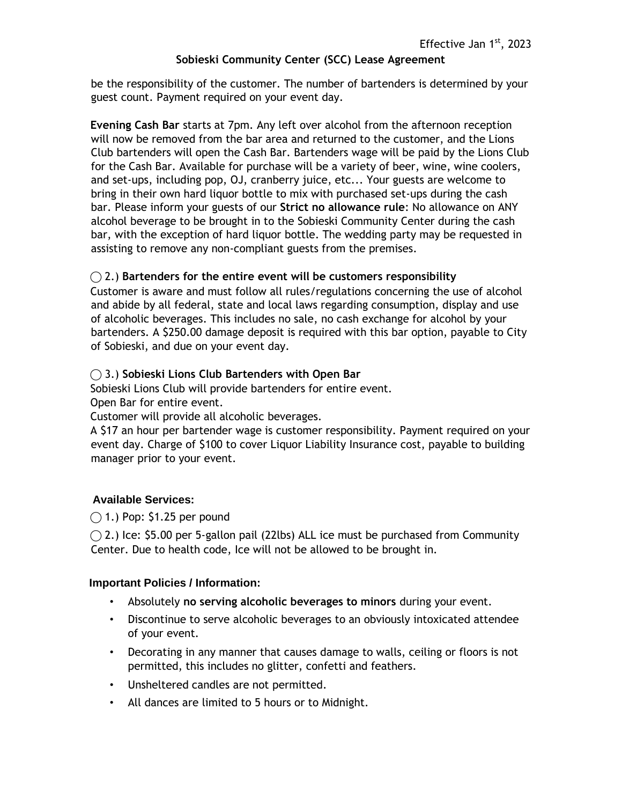# **Sobieski Community Center (SCC) Lease Agreement**

be the responsibility of the customer. The number of bartenders is determined by your guest count. Payment required on your event day.

**Evening Cash Bar** starts at 7pm. Any left over alcohol from the afternoon reception will now be removed from the bar area and returned to the customer, and the Lions Club bartenders will open the Cash Bar. Bartenders wage will be paid by the Lions Club for the Cash Bar. Available for purchase will be a variety of beer, wine, wine coolers, and set-ups, including pop, OJ, cranberry juice, etc... Your guests are welcome to bring in their own hard liquor bottle to mix with purchased set-ups during the cash bar. Please inform your guests of our **Strict no allowance rule**: No allowance on ANY alcohol beverage to be brought in to the Sobieski Community Center during the cash bar, with the exception of hard liquor bottle. The wedding party may be requested in assisting to remove any non-compliant guests from the premises.

# ⃝ 2.) **Bartenders for the entire event will be customers responsibility**

Customer is aware and must follow all rules/regulations concerning the use of alcohol and abide by all federal, state and local laws regarding consumption, display and use of alcoholic beverages. This includes no sale, no cash exchange for alcohol by your bartenders. A \$250.00 damage deposit is required with this bar option, payable to City of Sobieski, and due on your event day.

## ⃝ 3.) **Sobieski Lions Club Bartenders with Open Bar**

Sobieski Lions Club will provide bartenders for entire event.

Open Bar for entire event.

Customer will provide all alcoholic beverages.

A \$17 an hour per bartender wage is customer responsibility. Payment required on your event day. Charge of \$100 to cover Liquor Liability Insurance cost, payable to building manager prior to your event.

## **Available Services:**

 $\bigcap$  1.) Pop: \$1.25 per pound

 $\bigcirc$  2.) Ice: \$5.00 per 5-gallon pail (22lbs) ALL ice must be purchased from Community Center. Due to health code, Ice will not be allowed to be brought in.

### **Important Policies / Information:**

- Absolutely **no serving alcoholic beverages to minors** during your event.
- Discontinue to serve alcoholic beverages to an obviously intoxicated attendee of your event.
- Decorating in any manner that causes damage to walls, ceiling or floors is not permitted, this includes no glitter, confetti and feathers.
- Unsheltered candles are not permitted.
- All dances are limited to 5 hours or to Midnight.